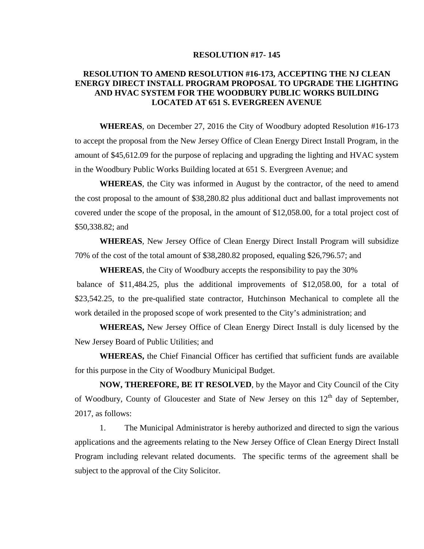## **RESOLUTION #17- 145**

## **RESOLUTION TO AMEND RESOLUTION #16-173, ACCEPTING THE NJ CLEAN ENERGY DIRECT INSTALL PROGRAM PROPOSAL TO UPGRADE THE LIGHTING AND HVAC SYSTEM FOR THE WOODBURY PUBLIC WORKS BUILDING LOCATED AT 651 S. EVERGREEN AVENUE**

**WHEREAS**, on December 27, 2016 the City of Woodbury adopted Resolution #16-173 to accept the proposal from the New Jersey Office of Clean Energy Direct Install Program, in the amount of \$45,612.09 for the purpose of replacing and upgrading the lighting and HVAC system in the Woodbury Public Works Building located at 651 S. Evergreen Avenue; and

**WHEREAS**, the City was informed in August by the contractor, of the need to amend the cost proposal to the amount of \$38,280.82 plus additional duct and ballast improvements not covered under the scope of the proposal, in the amount of \$12,058.00, for a total project cost of \$50,338.82; and

**WHEREAS**, New Jersey Office of Clean Energy Direct Install Program will subsidize 70% of the cost of the total amount of \$38,280.82 proposed, equaling \$26,796.57; and

**WHEREAS**, the City of Woodbury accepts the responsibility to pay the 30% balance of \$11,484.25, plus the additional improvements of \$12,058.00, for a total of \$23,542.25, to the pre-qualified state contractor, Hutchinson Mechanical to complete all the work detailed in the proposed scope of work presented to the City's administration; and

**WHEREAS,** New Jersey Office of Clean Energy Direct Install is duly licensed by the New Jersey Board of Public Utilities; and

**WHEREAS,** the Chief Financial Officer has certified that sufficient funds are available for this purpose in the City of Woodbury Municipal Budget.

**NOW, THEREFORE, BE IT RESOLVED**, by the Mayor and City Council of the City of Woodbury, County of Gloucester and State of New Jersey on this  $12<sup>th</sup>$  day of September, 2017, as follows:

1. The Municipal Administrator is hereby authorized and directed to sign the various applications and the agreements relating to the New Jersey Office of Clean Energy Direct Install Program including relevant related documents. The specific terms of the agreement shall be subject to the approval of the City Solicitor.